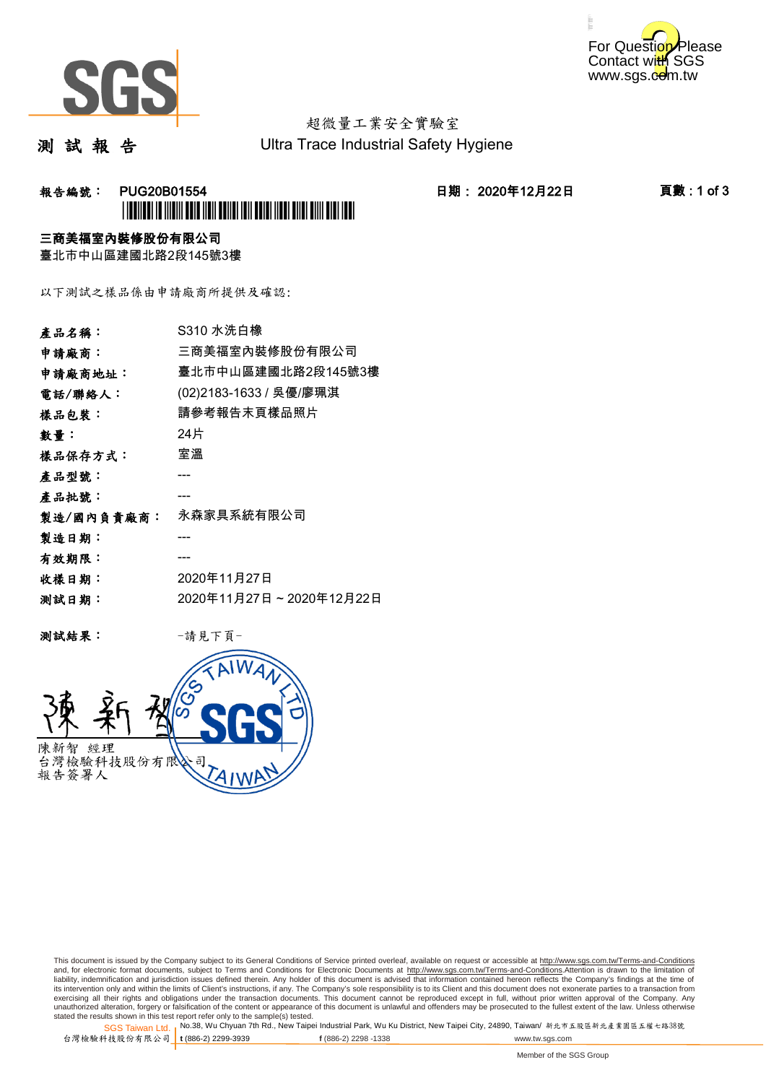



# 超微量工業安全實驗室

測 試 報 告

Ultra Trace Industrial Safety Hygiene

### **報告編號: PUG20B01554 日期: 2020年12月22日 頁數:1 of 3** \*PUG20B01554\*

#### 三商美福室內裝修股份有限公司

臺北市中山區建國北路2段145號3樓

以下測試之樣品係由申請廠商所提供及確認:

| 產品名稱:      | S310 水洗白橡               |
|------------|-------------------------|
| 申請廠商:      | 三商美福室內裝修股份有限公司          |
| 申請廠商地址:    | 臺北市中山區建國北路2段145號3樓      |
| 電話/聯絡人:    | (02)2183-1633 / 吳優/廖珮淇  |
| 樣品包裝:      | 請參考報告末頁樣品照片             |
| 數量:        | 24片                     |
| 樣品保存方式:    | 室溫                      |
| 產品型號:      |                         |
| 產品批號:      |                         |
| 製造/國內負責廠商: | 永森家具系統有限公司              |
| 製造日期:      |                         |
| 有效期限:      |                         |
| 收樣日期:      | 2020年11月27日             |
| 测試日期:      | 2020年11月27日~2020年12月22日 |
|            |                         |

测試結果: 一請見下頁



This document is issued by the Company subject to its General Conditions of Service printed overleaf, available on request or accessible at http://www.sgs.com.tw/Terms-and-Conditions and, for electronic format documents, subject to Terms and Conditions for Electronic Documents at <u>http://www.sgs.com.tw/Terms-and-Conditions</u>.Attention is drawn to the limitation of<br>liability, indemnification and jurisdic exercising all their rights and obligations under the transaction documents. This document cannot be reproduced except in full, without prior written approval of the Company. Any<br>unauthorized alteration, forgery or falsifi

SGS Taiwan Ltd. 1 stated the results shown in this test report refer only to the sample(s) tested.<br>Stated the results shown in this test report refer only to the sample(s) tested.

台灣檢驗科技股份有限公司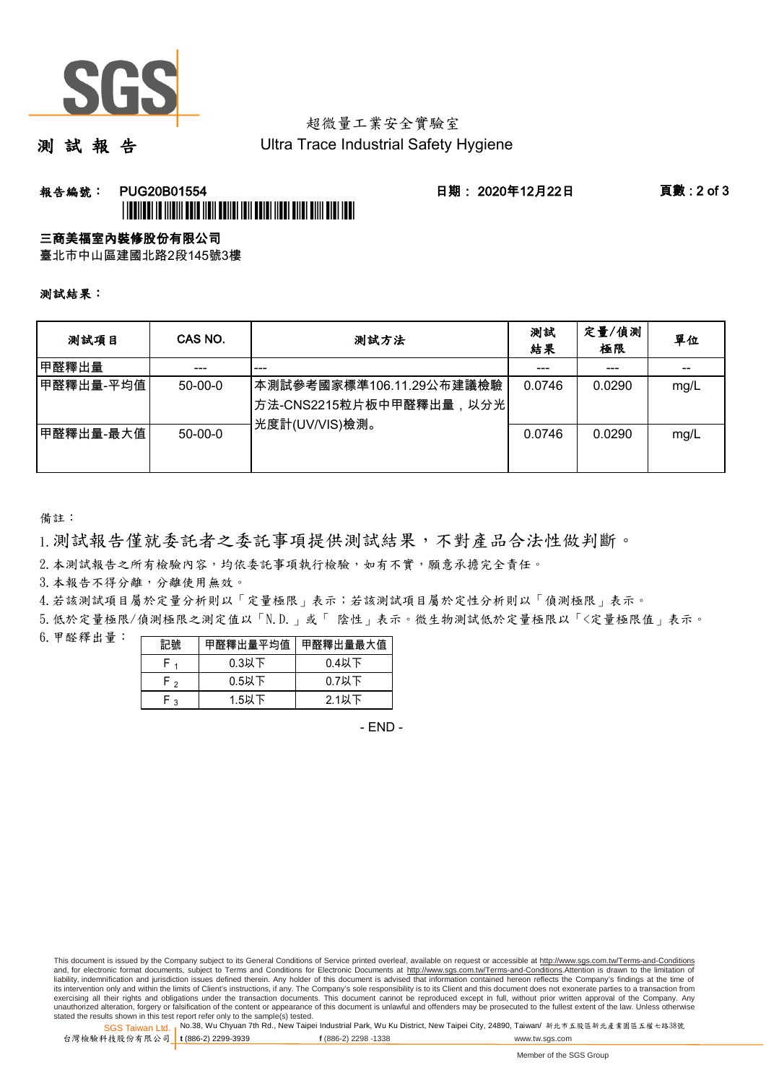

## 超微量工業安全實驗室

測 試 報 告

Ultra Trace Industrial Safety Hygiene

### 報告編號: PUG20B01554 日期: 2020年12月22日 頁數 : 2 of 3 \*PUBLICATION IS INTERFERIENCE INTERFERIENCE INTERFERIENCE INTERFERIENCE INTERFERIENCE INTERFERIENCE INTERFERIE

#### 三商美福室內裝修股份有限公司

臺北市中山區建國北路2段145號3樓

測試結果:

| 测試項目      | CAS NO.       | 測試方法                                                                                | 測試<br>結果 | 定量/偵測<br>極限 | 單位   |
|-----------|---------------|-------------------------------------------------------------------------------------|----------|-------------|------|
| 甲醛釋出量     |               | ---                                                                                 |          | ---         |      |
| 甲醛釋出量-平均值 | $50 - 00 - 0$ | 本測試參考國家標準106.11.29公布建議檢驗<br><sup> </sup> 方法-CNS2215粒片板中甲醛釋出量,以分光 <br>光度計(UV/VIS)檢測。 | 0.0746   | 0.0290      | mg/L |
| 甲醛釋出量-最大值 | $50 - 00 - 0$ |                                                                                     | 0.0746   | 0.0290      | mg/L |

備註:

1.測試報告僅就委託者之委託事項提供測試結果,不對產品合法性做判斷。

2.本測試報告之所有檢驗內容,均依委託事項執行檢驗,如有不實,願意承擔完全責任。

3. 本報告不得分離,分離使用無效。

4.若該測試項目屬於定量分析則以「定量極限」表示;若該測試項目屬於定性分析則以「偵測極限」表示。

5.低於定量極限/偵測極限之測定值以「N.D.」或「 陰性」表示。微生物測試低於定量極限以「<定量極限值」表示。

6.甲醛釋出量:

| 記號   |          | 甲醛釋出量平均值 甲醛釋出量最大值 |  |  |
|------|----------|-------------------|--|--|
|      | $0.3$ 以下 | $0.4$ 以下          |  |  |
| $-2$ | $0.5$ 以下 | $0.7$ 以下          |  |  |
| ົ່າ  | $1.5$ 以下 | 2.1以下             |  |  |

- END -

This document is issued by the Company subject to its General Conditions of Service printed overleaf, available on request or accessible at http://www.sgs.com.tw/Terms-and-Conditions and, for electronic format documents, subject to Terms and Conditions for Electronic Documents at http://www.sgs.com.tw/Terms-and-Conditions.Attention is drawn to the limitation of liability, indemnification and jurisdiction issues defined therein. Any holder of this document is advised that information contained hereon reflects the Company's findings at the time of<br>its intervention only and within t exercising all their rights and obligations under the transaction documents. This document cannot be reproduced except in full, without prior written approval of the Company. Any<br>unauthorized alteration, forgery or falsifi

SGS Taiwan Ltd. 1 stated the results shown in this test report refer only to the sample(s) tested.<br>Stated the results shown in this test report refer only to the sample(s) tested.

台灣檢驗科技股份有限公司

**t** (886-2) 2299-3939 **f** (886-2) 2298 -1338 www.tw.sgs.com